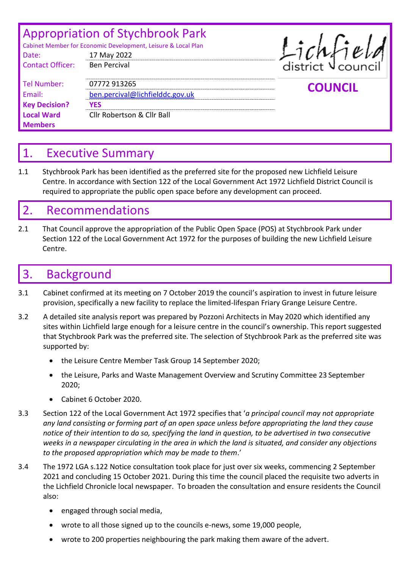| Date:                   | <b>Appropriation of Stychbrook Park</b><br>Cabinet Member for Economic Development, Leisure & Local Plan<br>17 May 2022 | Lichfield      |
|-------------------------|-------------------------------------------------------------------------------------------------------------------------|----------------|
| <b>Contact Officer:</b> | <b>Ben Percival</b>                                                                                                     |                |
| <b>Tel Number:</b>      | 07772 913265                                                                                                            | <b>COUNCIL</b> |
| Email:                  | ben.percival@lichfielddc.gov.uk                                                                                         |                |
| <b>Key Decision?</b>    | <b>YES</b>                                                                                                              |                |
| <b>Local Ward</b>       | <b>Cllr Robertson &amp; Cllr Ball</b>                                                                                   |                |
| <b>Members</b>          |                                                                                                                         |                |

## 1. Executive Summary

1.1 Stychbrook Park has been identified as the preferred site for the proposed new Lichfield Leisure Centre. In accordance with Section 122 of the Local Government Act 1972 Lichfield District Council is required to appropriate the public open space before any development can proceed.

## 2. Recommendations

2.1 That Council approve the appropriation of the Public Open Space (POS) at Stychbrook Park under Section 122 of the Local Government Act 1972 for the purposes of building the new Lichfield Leisure Centre.

## 3. Background

- 3.1 Cabinet confirmed at its meeting on 7 October 2019 the council's aspiration to invest in future leisure provision, specifically a new facility to replace the limited-lifespan Friary Grange Leisure Centre.
- 3.2 A detailed site analysis report was prepared by Pozzoni Architects in May 2020 which identified any sites within Lichfield large enough for a leisure centre in the council's ownership. This report suggested that Stychbrook Park was the preferred site. The selection of Stychbrook Park as the preferred site was supported by:
	- the Leisure Centre Member Task Group 14 September 2020;
	- the Leisure, Parks and Waste Management Overview and Scrutiny Committee 23 September 2020;
	- Cabinet 6 October 2020.
- 3.3 Section 122 of the Local Government Act 1972 specifies that '*a principal council may not appropriate any land consisting or forming part of an open space unless before appropriating the land they cause notice of their intention to do so, specifying the land in question, to be advertised in two consecutive weeks in a newspaper circulating in the area in which the land is situated, and consider any objections to the proposed appropriation which may be made to them*.'
- 3.4 The 1972 LGA s.122 Notice consultation took place for just over six weeks, commencing 2 September 2021 and concluding 15 October 2021. During this time the council placed the requisite two adverts in the Lichfield Chronicle local newspaper. To broaden the consultation and ensure residents the Council also:
	- engaged through social media,
	- wrote to all those signed up to the councils e-news, some 19,000 people,
	- wrote to 200 properties neighbouring the park making them aware of the advert.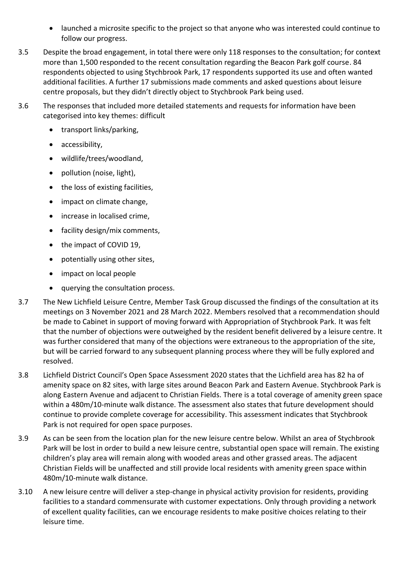- launched a microsite specific to the project so that anyone who was interested could continue to follow our progress.
- 3.5 Despite the broad engagement, in total there were only 118 responses to the consultation; for context more than 1,500 responded to the recent consultation regarding the Beacon Park golf course. 84 respondents objected to using Stychbrook Park, 17 respondents supported its use and often wanted additional facilities. A further 17 submissions made comments and asked questions about leisure centre proposals, but they didn't directly object to Stychbrook Park being used.
- 3.6 The responses that included more detailed statements and requests for information have been categorised into key themes: difficult
	- transport links/parking,
	- accessibility,
	- wildlife/trees/woodland,
	- pollution (noise, light),
	- the loss of existing facilities,
	- impact on climate change,
	- increase in localised crime,
	- facility design/mix comments,
	- the impact of COVID 19,
	- potentially using other sites,
	- impact on local people
	- querying the consultation process.
- 3.7 The New Lichfield Leisure Centre, Member Task Group discussed the findings of the consultation at its meetings on 3 November 2021 and 28 March 2022. Members resolved that a recommendation should be made to Cabinet in support of moving forward with Appropriation of Stychbrook Park. It was felt that the number of objections were outweighed by the resident benefit delivered by a leisure centre. It was further considered that many of the objections were extraneous to the appropriation of the site, but will be carried forward to any subsequent planning process where they will be fully explored and resolved.
- 3.8 Lichfield District Council's Open Space Assessment 2020 states that the Lichfield area has 82 ha of amenity space on 82 sites, with large sites around Beacon Park and Eastern Avenue. Stychbrook Park is along Eastern Avenue and adjacent to Christian Fields. There is a total coverage of amenity green space within a 480m/10-minute walk distance. The assessment also states that future development should continue to provide complete coverage for accessibility. This assessment indicates that Stychbrook Park is not required for open space purposes.
- 3.9 As can be seen from the location plan for the new leisure centre below. Whilst an area of Stychbrook Park will be lost in order to build a new leisure centre, substantial open space will remain. The existing children's play area will remain along with wooded areas and other grassed areas. The adjacent Christian Fields will be unaffected and still provide local residents with amenity green space within 480m/10-minute walk distance.
- 3.10 A new leisure centre will deliver a step-change in physical activity provision for residents, providing facilities to a standard commensurate with customer expectations. Only through providing a network of excellent quality facilities, can we encourage residents to make positive choices relating to their leisure time.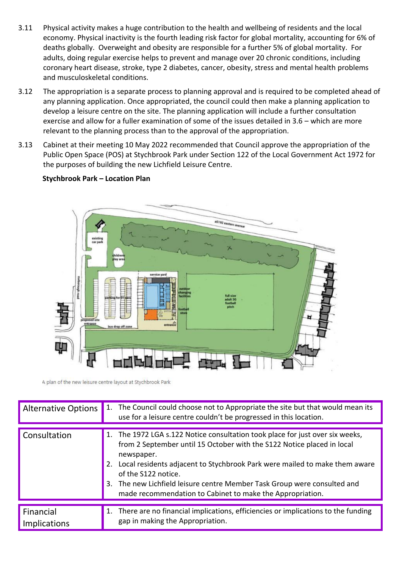- 3.11 Physical activity makes a huge contribution to the health and wellbeing of residents and the local economy. Physical inactivity is the fourth leading risk factor for global mortality, accounting for 6% of deaths globally. Overweight and obesity are responsible for a further 5% of global mortality. For adults, doing regular exercise helps to prevent and manage over 20 chronic conditions, including coronary heart disease, stroke, type 2 diabetes, cancer, obesity, stress and mental health problems and musculoskeletal conditions.
- 3.12 The appropriation is a separate process to planning approval and is required to be completed ahead of any planning application. Once appropriated, the council could then make a planning application to develop a leisure centre on the site. The planning application will include a further consultation exercise and allow for a fuller examination of some of the issues detailed in 3.6 – which are more relevant to the planning process than to the approval of the appropriation.
- 3.13 Cabinet at their meeting 10 May 2022 recommended that Council approve the appropriation of the Public Open Space (POS) at Stychbrook Park under Section 122 of the Local Government Act 1972 for the purposes of building the new Lichfield Leisure Centre.

## **Stychbrook Park – Location Plan**



A plan of the new leisure centre layout at Stychbrook Park

| <b>Alternative Options</b> | 1. The Council could choose not to Appropriate the site but that would mean its<br>use for a leisure centre couldn't be progressed in this location.                                                                                                                                                                                                                                                                |
|----------------------------|---------------------------------------------------------------------------------------------------------------------------------------------------------------------------------------------------------------------------------------------------------------------------------------------------------------------------------------------------------------------------------------------------------------------|
| <b>Consultation</b>        | 1. The 1972 LGA s.122 Notice consultation took place for just over six weeks,<br>from 2 September until 15 October with the S122 Notice placed in local<br>newspaper.<br>Local residents adjacent to Stychbrook Park were mailed to make them aware<br>of the S122 notice.<br>3. The new Lichfield leisure centre Member Task Group were consulted and<br>made recommendation to Cabinet to make the Appropriation. |
| Financial<br>Implications  | 1. There are no financial implications, efficiencies or implications to the funding<br>gap in making the Appropriation.                                                                                                                                                                                                                                                                                             |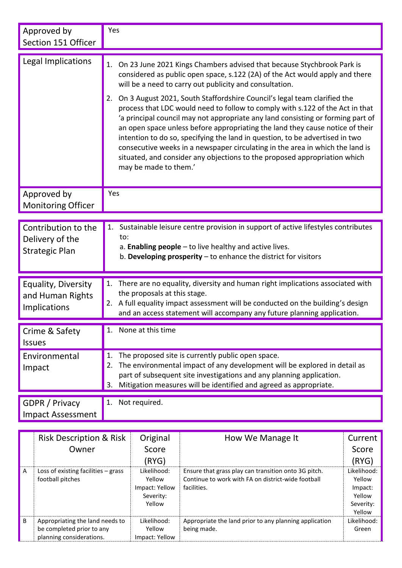| Approved by<br>Section 151 Officer                              | Yes                                                                                                                                                                                                                                                                                                                                                                                                                                                                                                                                                                                                                                                                                                                                                                                                                                |  |
|-----------------------------------------------------------------|------------------------------------------------------------------------------------------------------------------------------------------------------------------------------------------------------------------------------------------------------------------------------------------------------------------------------------------------------------------------------------------------------------------------------------------------------------------------------------------------------------------------------------------------------------------------------------------------------------------------------------------------------------------------------------------------------------------------------------------------------------------------------------------------------------------------------------|--|
| Legal Implications                                              | 1. On 23 June 2021 Kings Chambers advised that because Stychbrook Park is<br>considered as public open space, s.122 (2A) of the Act would apply and there<br>will be a need to carry out publicity and consultation.<br>On 3 August 2021, South Staffordshire Council's legal team clarified the<br>2.<br>process that LDC would need to follow to comply with s.122 of the Act in that<br>'a principal council may not appropriate any land consisting or forming part of<br>an open space unless before appropriating the land they cause notice of their<br>intention to do so, specifying the land in question, to be advertised in two<br>consecutive weeks in a newspaper circulating in the area in which the land is<br>situated, and consider any objections to the proposed appropriation which<br>may be made to them.' |  |
| Approved by<br><b>Monitoring Officer</b>                        | Yes                                                                                                                                                                                                                                                                                                                                                                                                                                                                                                                                                                                                                                                                                                                                                                                                                                |  |
| Contribution to the<br>Delivery of the<br><b>Strategic Plan</b> | Sustainable leisure centre provision in support of active lifestyles contributes<br>1.<br>to:<br>a. Enabling people $-$ to live healthy and active lives.<br>b. Developing prosperity $-$ to enhance the district for visitors                                                                                                                                                                                                                                                                                                                                                                                                                                                                                                                                                                                                     |  |
| Equality, Diversity<br>and Human Rights<br>Implications         | 1. There are no equality, diversity and human right implications associated with<br>the proposals at this stage.<br>A full equality impact assessment will be conducted on the building's design<br>2.<br>and an access statement will accompany any future planning application.                                                                                                                                                                                                                                                                                                                                                                                                                                                                                                                                                  |  |
| Crime & Safety<br><b>Issues</b>                                 | None at this time                                                                                                                                                                                                                                                                                                                                                                                                                                                                                                                                                                                                                                                                                                                                                                                                                  |  |
| Environmental<br>Impact                                         | The proposed site is currently public open space.<br>1.<br>The environmental impact of any development will be explored in detail as<br>2.<br>part of subsequent site investigations and any planning application.<br>Mitigation measures will be identified and agreed as appropriate.<br>3.                                                                                                                                                                                                                                                                                                                                                                                                                                                                                                                                      |  |
| GDPR / Privacy<br><b>Impact Assessment</b>                      | Not required.<br>1.                                                                                                                                                                                                                                                                                                                                                                                                                                                                                                                                                                                                                                                                                                                                                                                                                |  |
| <b>Risk Description &amp; Risk</b>                              | Original<br>How We Manage It<br>Current                                                                                                                                                                                                                                                                                                                                                                                                                                                                                                                                                                                                                                                                                                                                                                                            |  |

|                | Risk Description & Risk               | Original       | How We Manage It                                       | Current     |
|----------------|---------------------------------------|----------------|--------------------------------------------------------|-------------|
|                | Owner                                 | Score          |                                                        | Score       |
|                |                                       | (RYG)          |                                                        | (RYG)       |
| $\overline{A}$ | Loss of existing facilities $-$ grass | Likelihood:    | Ensure that grass play can transition onto 3G pitch.   | Likelihood: |
|                | football pitches                      | Yellow         | Continue to work with FA on district-wide football     | Yellow      |
|                |                                       | Impact: Yellow | facilities.                                            | Impact:     |
|                |                                       | Severity:      |                                                        | Yellow      |
|                |                                       | Yellow         |                                                        | Severity:   |
|                |                                       |                |                                                        | Yellow      |
| B              | Appropriating the land needs to       | Likelihood:    | Appropriate the land prior to any planning application | Likelihood: |
|                | be completed prior to any             | Yellow         | being made.                                            | Green       |
|                | planning considerations.              | Impact: Yellow |                                                        |             |